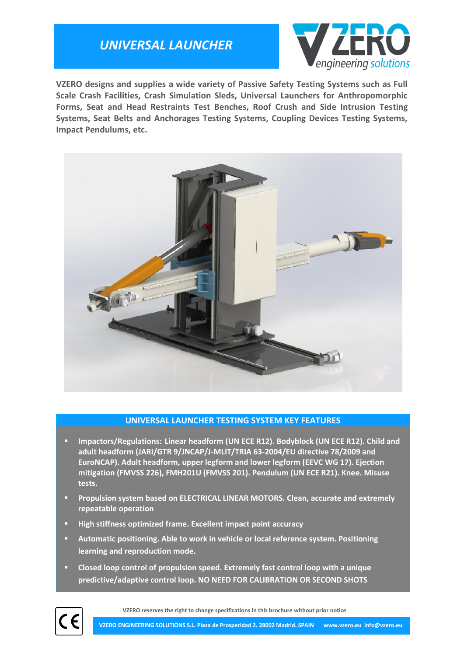## *UNIVERSAL LAUNCHER*



**VZERO designs and supplies a wide variety of Passive Safety Testing Systems such as Full Scale Crash Facilities, Crash Simulation Sleds, Universal Launchers for Anthropomorphic Forms, Seat and Head Restraints Test Benches, Roof Crush and Side Intrusion Testing Systems, Seat Belts and Anchorages Testing Systems, Coupling Devices Testing Systems, Impact Pendulums, etc.**



### **UNIVERSAL LAUNCHER TESTING SYSTEM KEY FEATURES**

- **Impactors/Regulations: Linear headform (UN ECE R12). Bodyblock (UN ECE R12). Child and adult headform (JARI/GTR 9/JNCAP/J-MLIT/TRIA 63-2004/EU directive 78/2009 and EuroNCAP). Adult headform, upper legform and lower legform (EEVC WG 17). Ejection mitigation (FMVSS 226), FMH201U (FMVSS 201). Pendulum (UN ECE R21). Knee. Misuse tests.**
- **Propulsion system based on ELECTRICAL LINEAR MOTORS. Clean, accurate and extremely repeatable operation**
- **High stiffness optimized frame. Excellent impact point accuracy**
- **Automatic positioning. Able to work in vehicle or local reference system. Positioning learning and reproduction mode.**
- **Closed loop control of propulsion speed. Extremely fast control loop with a unique predictive/adaptive control loop. NO NEED FOR CALIBRATION OR SECOND SHOTS**



**VZERO reserves the right to change specifications in this brochure without prior notice**